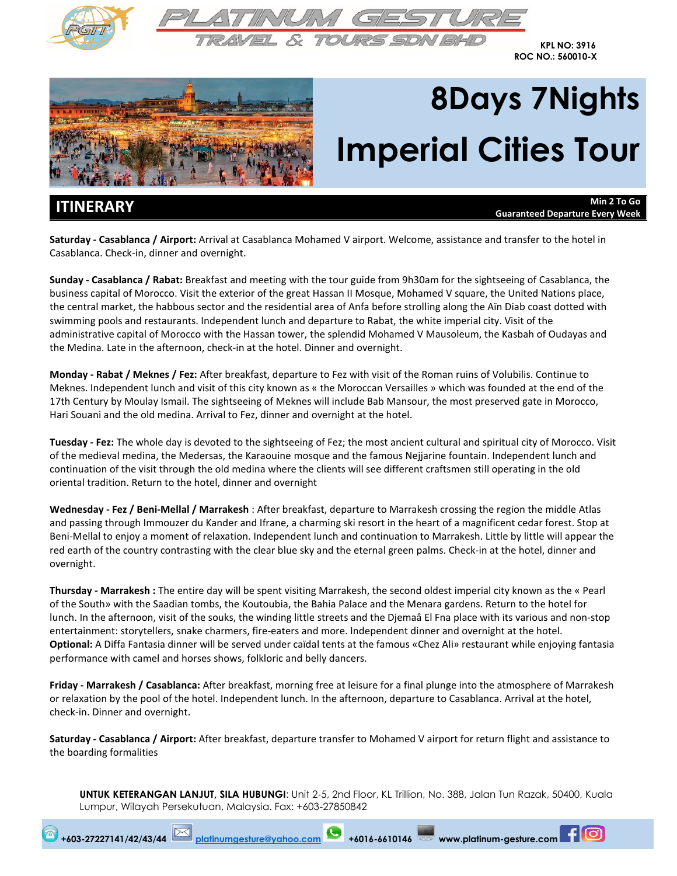



**KPL NO: 3916 ROC NO.: 560010-X**



# **8Days 7Nights Imperial Cities Tour**

**ITINERARY Min 2 To Go Guaranteed Departure Every Week**

**Saturday ‐ Casablanca / Airport:** Arrival at Casablanca Mohamed V airport. Welcome, assistance and transfer to the hotel in Casablanca. Check‐in, dinner and overnight.

**Sunday ‐ Casablanca / Rabat:** Breakfast and meeting with the tour guide from 9h30am for the sightseeing of Casablanca, the business capital of Morocco. Visit the exterior of the great Hassan II Mosque, Mohamed V square, the United Nations place, the central market, the habbous sector and the residential area of Anfa before strolling along the Aïn Diab coast dotted with swimming pools and restaurants. Independent lunch and departure to Rabat, the white imperial city. Visit of the administrative capital of Morocco with the Hassan tower, the splendid Mohamed V Mausoleum, the Kasbah of Oudayas and the Medina. Late in the afternoon, check‐in at the hotel. Dinner and overnight.

**Monday ‐ Rabat / Meknes / Fez:** After breakfast, departure to Fez with visit of the Roman ruins of Volubilis. Continue to Meknes. Independent lunch and visit of this city known as « the Moroccan Versailles » which was founded at the end of the 17th Century by Moulay Ismail. The sightseeing of Meknes will include Bab Mansour, the most preserved gate in Morocco, Hari Souani and the old medina. Arrival to Fez, dinner and overnight at the hotel.

**Tuesday ‐ Fez:** The whole day is devoted to the sightseeing of Fez; the most ancient cultural and spiritual city of Morocco. Visit of the medieval medina, the Medersas, the Karaouine mosque and the famous Nejjarine fountain. Independent lunch and continuation of the visit through the old medina where the clients will see different craftsmen still operating in the old oriental tradition. Return to the hotel, dinner and overnight

**Wednesday ‐ Fez / Beni‐Mellal / Marrakesh** : After breakfast, departure to Marrakesh crossing the region the middle Atlas and passing through Immouzer du Kander and Ifrane, a charming ski resort in the heart of a magnificent cedar forest. Stop at Beni‐Mellal to enjoy a moment of relaxation. Independent lunch and continuation to Marrakesh. Little by little will appear the red earth of the country contrasting with the clear blue sky and the eternal green palms. Check-in at the hotel, dinner and overnight.

**Thursday ‐ Marrakesh :** The entire day will be spent visiting Marrakesh, the second oldest imperial city known as the « Pearl of the South» with the Saadian tombs, the Koutoubia, the Bahia Palace and the Menara gardens. Return to the hotel for lunch. In the afternoon, visit of the souks, the winding little streets and the Djemaâ El Fna place with its various and non‐stop entertainment: storytellers, snake charmers, fire-eaters and more. Independent dinner and overnight at the hotel. **Optional:** A Diffa Fantasia dinner will be served under caïdal tents at the famous «Chez Ali» restaurant while enjoying fantasia performance with camel and horses shows, folkloric and belly dancers.

**Friday ‐ Marrakesh / Casablanca:** After breakfast, morning free at leisure for a final plunge into the atmosphere of Marrakesh or relaxation by the pool of the hotel. Independent lunch. In the afternoon, departure to Casablanca. Arrival at the hotel, check‐in. Dinner and overnight.

**Saturday ‐ Casablanca / Airport:** After breakfast, departure transfer to Mohamed V airport for return flight and assistance to the boarding formalities

**+603-27227141/42/43/44 [platinumgesture@yahoo.com](mailto:platinumgesture@yahoo.com) +6016-6610146 www.platinum-gesture.com**

**UNTUK KETERANGAN LANJUT, SILA HUBUNGI**: Unit 2-5, 2nd Floor, KL Trillion, No. 388, Jalan Tun Razak, 50400, Kuala Lumpur, Wilayah Persekutuan, Malaysia. Fax: +603-27850842